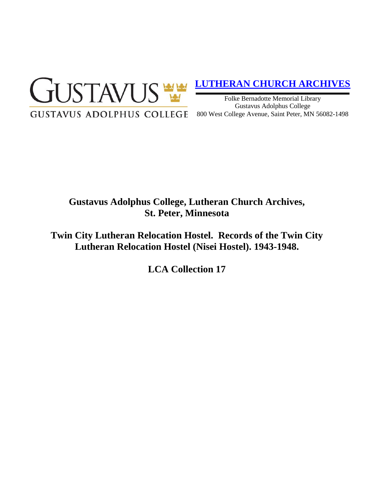

## **[LUTHERAN CHURCH ARCHIVES](http://gustavus.edu/academics/library/archives/)**

Folke Bernadotte Memorial Library Gustavus Adolphus College 800 West College Avenue, Saint Peter, MN 56082-1498

# **Gustavus Adolphus College, Lutheran Church Archives, St. Peter, Minnesota**

**Twin City Lutheran Relocation Hostel. Records of the Twin City Lutheran Relocation Hostel (Nisei Hostel). 1943-1948.**

**LCA Collection 17**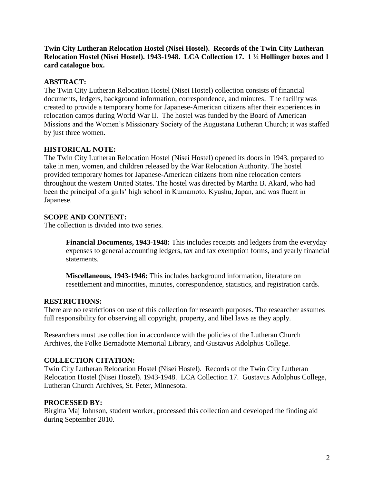**Twin City Lutheran Relocation Hostel (Nisei Hostel). Records of the Twin City Lutheran Relocation Hostel (Nisei Hostel). 1943-1948. LCA Collection 17. 1 ½ Hollinger boxes and 1 card catalogue box.**

## **ABSTRACT:**

The Twin City Lutheran Relocation Hostel (Nisei Hostel) collection consists of financial documents, ledgers, background information, correspondence, and minutes. The facility was created to provide a temporary home for Japanese-American citizens after their experiences in relocation camps during World War II. The hostel was funded by the Board of American Missions and the Women's Missionary Society of the Augustana Lutheran Church; it was staffed by just three women.

## **HISTORICAL NOTE:**

The Twin City Lutheran Relocation Hostel (Nisei Hostel) opened its doors in 1943, prepared to take in men, women, and children released by the War Relocation Authority. The hostel provided temporary homes for Japanese-American citizens from nine relocation centers throughout the western United States. The hostel was directed by Martha B. Akard, who had been the principal of a girls' high school in Kumamoto, Kyushu, Japan, and was fluent in Japanese.

## **SCOPE AND CONTENT:**

The collection is divided into two series.

**Financial Documents, 1943-1948:** This includes receipts and ledgers from the everyday expenses to general accounting ledgers, tax and tax exemption forms, and yearly financial statements.

**Miscellaneous, 1943-1946:** This includes background information, literature on resettlement and minorities, minutes, correspondence, statistics, and registration cards.

#### **RESTRICTIONS:**

There are no restrictions on use of this collection for research purposes. The researcher assumes full responsibility for observing all copyright, property, and libel laws as they apply.

Researchers must use collection in accordance with the policies of the Lutheran Church Archives, the Folke Bernadotte Memorial Library, and Gustavus Adolphus College.

#### **COLLECTION CITATION:**

Twin City Lutheran Relocation Hostel (Nisei Hostel). Records of the Twin City Lutheran Relocation Hostel (Nisei Hostel). 1943-1948. LCA Collection 17. Gustavus Adolphus College, Lutheran Church Archives, St. Peter, Minnesota.

#### **PROCESSED BY:**

Birgitta Maj Johnson, student worker, processed this collection and developed the finding aid during September 2010.